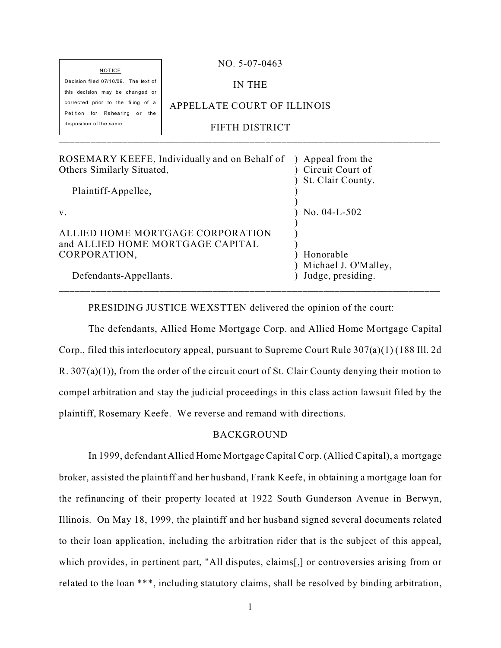| $NO. 5-07-0463$             |
|-----------------------------|
| IN THE                      |
|                             |
| APPELLATE COURT OF ILLINOIS |
| FIFTH DISTRICT              |
|                             |
|                             |

| ROSEMARY KEEFE, Individually and on Behalf of                        | Appeal from the                           |
|----------------------------------------------------------------------|-------------------------------------------|
| Others Similarly Situated,                                           | Circuit Court of                          |
|                                                                      | St. Clair County.                         |
| Plaintiff-Appellee,                                                  |                                           |
| $V_{\cdot}$                                                          | No. $04-L-502$                            |
| ALLIED HOME MORTGAGE CORPORATION<br>and ALLIED HOME MORTGAGE CAPITAL |                                           |
| CORPORATION,                                                         | Honorable                                 |
| Defendants-Appellants.                                               | Michael J. O'Malley,<br>Judge, presiding. |
|                                                                      |                                           |

PRESIDING JUSTICE WEXSTTEN delivered the opinion of the court:

The defendants, Allied Home Mortgage Corp. and Allied Home Mortgage Capital Corp., filed this interlocutory appeal, pursuant to Supreme Court Rule 307(a)(1) (188 Ill. 2d R. 307(a)(1)), from the order of the circuit court of St. Clair County denying their motion to compel arbitration and stay the judicial proceedings in this class action lawsuit filed by the plaintiff, Rosemary Keefe. We reverse and remand with directions.

#### BACKGROUND

In 1999, defendant Allied Home Mortgage Capital Corp. (Allied Capital), a mortgage broker, assisted the plaintiff and her husband, Frank Keefe, in obtaining a mortgage loan for the refinancing of their property located at 1922 South Gunderson Avenue in Berwyn, Illinois. On May 18, 1999, the plaintiff and her husband signed several documents related to their loan application, including the arbitration rider that is the subject of this appeal, which provides, in pertinent part, "All disputes, claims[,] or controversies arising from or related to the loan \*\*\*, including statutory claims, shall be resolved by binding arbitration,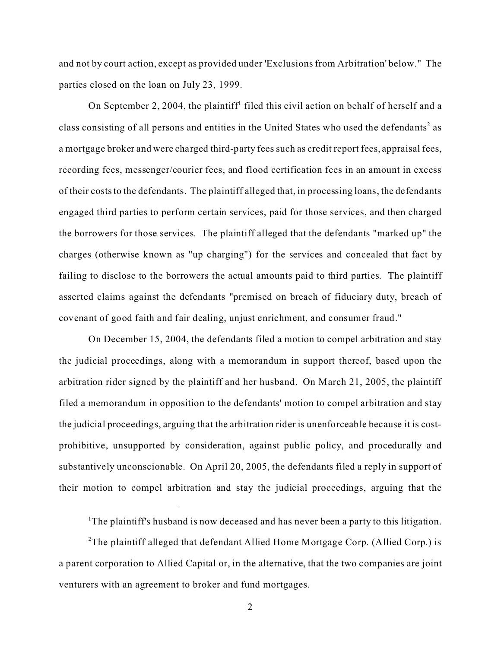and not by court action, except as provided under 'Exclusions from Arbitration' below." The parties closed on the loan on July 23, 1999.

On September 2, 2004, the plaintiff<sup>1</sup> filed this civil action on behalf of herself and a class consisting of all persons and entities in the United States who used the defendants<sup>2</sup> as a mortgage broker and were charged third-party fees such as credit report fees, appraisal fees, recording fees, messenger/courier fees, and flood certification fees in an amount in excess of their costs to the defendants. The plaintiff alleged that, in processing loans, the defendants engaged third parties to perform certain services, paid for those services, and then charged the borrowers for those services. The plaintiff alleged that the defendants "marked up" the charges (otherwise known as "up charging") for the services and concealed that fact by failing to disclose to the borrowers the actual amounts paid to third parties. The plaintiff asserted claims against the defendants "premised on breach of fiduciary duty, breach of covenant of good faith and fair dealing, unjust enrichment, and consumer fraud."

On December 15, 2004, the defendants filed a motion to compel arbitration and stay the judicial proceedings, along with a memorandum in support thereof, based upon the arbitration rider signed by the plaintiff and her husband. On March 21, 2005, the plaintiff filed a memorandum in opposition to the defendants' motion to compel arbitration and stay the judicial proceedings, arguing that the arbitration rider is unenforceable because it is costprohibitive, unsupported by consideration, against public policy, and procedurally and substantively unconscionable. On April 20, 2005, the defendants filed a reply in support of their motion to compel arbitration and stay the judicial proceedings, arguing that the

<sup>&</sup>lt;sup>1</sup>The plaintiff's husband is now deceased and has never been a party to this litigation.

<sup>&</sup>lt;sup>2</sup>The plaintiff alleged that defendant Allied Home Mortgage Corp. (Allied Corp.) is a parent corporation to Allied Capital or, in the alternative, that the two companies are joint venturers with an agreement to broker and fund mortgages.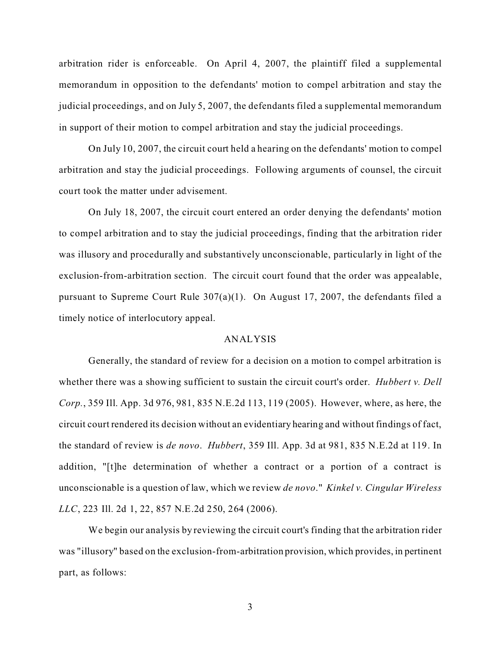arbitration rider is enforceable. On April 4, 2007, the plaintiff filed a supplemental memorandum in opposition to the defendants' motion to compel arbitration and stay the judicial proceedings, and on July 5, 2007, the defendants filed a supplemental memorandum in support of their motion to compel arbitration and stay the judicial proceedings.

On July 10, 2007, the circuit court held a hearing on the defendants' motion to compel arbitration and stay the judicial proceedings. Following arguments of counsel, the circuit court took the matter under advisement.

On July 18, 2007, the circuit court entered an order denying the defendants' motion to compel arbitration and to stay the judicial proceedings, finding that the arbitration rider was illusory and procedurally and substantively unconscionable, particularly in light of the exclusion-from-arbitration section. The circuit court found that the order was appealable, pursuant to Supreme Court Rule 307(a)(1). On August 17, 2007, the defendants filed a timely notice of interlocutory appeal.

#### ANALYSIS

Generally, the standard of review for a decision on a motion to compel arbitration is whether there was a showing sufficient to sustain the circuit court's order. *Hubbert v. Dell Corp.*, 359 Ill. App. 3d 976, 981, 835 N.E.2d 113, 119 (2005). However, where, as here, the circuit court rendered its decision without an evidentiary hearing and without findings of fact, the standard of review is *de novo*. *Hubbert*, 359 Ill. App. 3d at 981, 835 N.E.2d at 119. In addition, "[t]he determination of whether a contract or a portion of a contract is unconscionable is a question of law, which we review *de novo*." *Kinkel v. Cingular Wireless LLC*, 223 Ill. 2d 1, 22, 857 N.E.2d 250, 264 (2006).

We begin our analysis by reviewing the circuit court's finding that the arbitration rider was "illusory" based on the exclusion-from-arbitration provision, which provides, in pertinent part, as follows: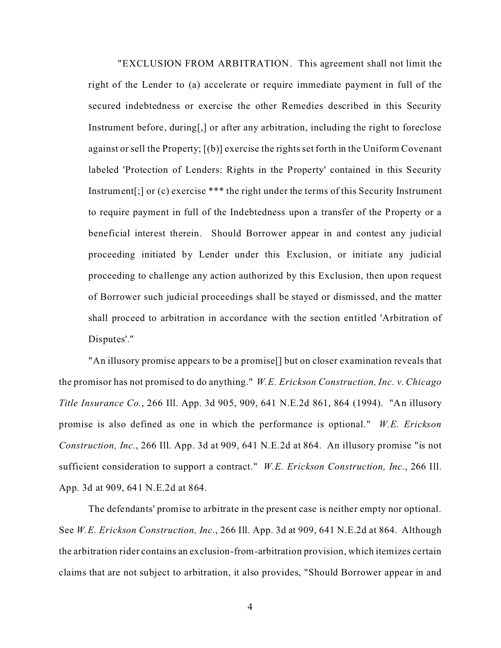"EXCLUSION FROM ARBITRATION. This agreement shall not limit the right of the Lender to (a) accelerate or require immediate payment in full of the secured indebtedness or exercise the other Remedies described in this Security Instrument before, during[,] or after any arbitration, including the right to foreclose against or sell the Property; [(b)] exercise the rights set forth in the Uniform Covenant labeled 'Protection of Lenders: Rights in the Property' contained in this Security Instrument[;] or (c) exercise \*\*\* the right under the terms of this Security Instrument to require payment in full of the Indebtedness upon a transfer of the Property or a beneficial interest therein. Should Borrower appear in and contest any judicial proceeding initiated by Lender under this Exclusion, or initiate any judicial proceeding to challenge any action authorized by this Exclusion, then upon request of Borrower such judicial proceedings shall be stayed or dismissed, and the matter shall proceed to arbitration in accordance with the section entitled 'Arbitration of Disputes'."

"An illusory promise appears to be a promise[] but on closer examination reveals that the promisor has not promised to do anything." *W.E. Erickson Construction, Inc. v. Chicago Title Insurance Co.*, 266 Ill. App. 3d 905, 909, 641 N.E.2d 861, 864 (1994). "An illusory promise is also defined as one in which the performance is optional." *W.E. Erickson Construction, Inc.*, 266 Ill. App. 3d at 909, 641 N.E.2d at 864. An illusory promise "is not sufficient consideration to support a contract." *W.E. Erickson Construction, Inc.*, 266 Ill. App. 3d at 909, 641 N.E.2d at 864.

The defendants' promise to arbitrate in the present case is neither empty nor optional. See *W.E. Erickson Construction, Inc.*, 266 Ill. App. 3d at 909, 641 N.E.2d at 864. Although the arbitration rider contains an exclusion-from-arbitration provision, which itemizes certain claims that are not subject to arbitration, it also provides, "Should Borrower appear in and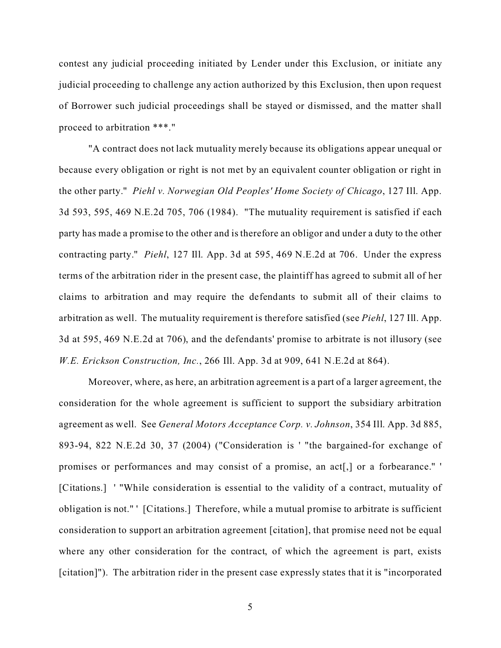contest any judicial proceeding initiated by Lender under this Exclusion, or initiate any judicial proceeding to challenge any action authorized by this Exclusion, then upon request of Borrower such judicial proceedings shall be stayed or dismissed, and the matter shall proceed to arbitration \*\*\*."

"A contract does not lack mutuality merely because its obligations appear unequal or because every obligation or right is not met by an equivalent counter obligation or right in the other party." *Piehl v. Norwegian Old Peoples' Home Society of Chicago*, 127 Ill. App. 3d 593, 595, 469 N.E.2d 705, 706 (1984). "The mutuality requirement is satisfied if each party has made a promise to the other and is therefore an obligor and under a duty to the other contracting party." *Piehl*, 127 Ill. App. 3d at 595, 469 N.E.2d at 706. Under the express terms of the arbitration rider in the present case, the plaintiff has agreed to submit all of her claims to arbitration and may require the defendants to submit all of their claims to arbitration as well. The mutuality requirement is therefore satisfied (see *Piehl*, 127 Ill. App. 3d at 595, 469 N.E.2d at 706), and the defendants' promise to arbitrate is not illusory (see *W.E. Erickson Construction, Inc.*, 266 Ill. App. 3d at 909, 641 N.E.2d at 864).

Moreover, where, as here, an arbitration agreement is a part of a larger agreement, the consideration for the whole agreement is sufficient to support the subsidiary arbitration agreement as well. See *General Motors Acceptance Corp. v. Johnson*, 354 Ill. App. 3d 885, 893-94, 822 N.E.2d 30, 37 (2004) ("Consideration is ' "the bargained-for exchange of promises or performances and may consist of a promise, an act[,] or a forbearance." ' [Citations.] ' "While consideration is essential to the validity of a contract, mutuality of obligation is not." ' [Citations.] Therefore, while a mutual promise to arbitrate is sufficient consideration to support an arbitration agreement [citation], that promise need not be equal where any other consideration for the contract, of which the agreement is part, exists [citation]"). The arbitration rider in the present case expressly states that it is "incorporated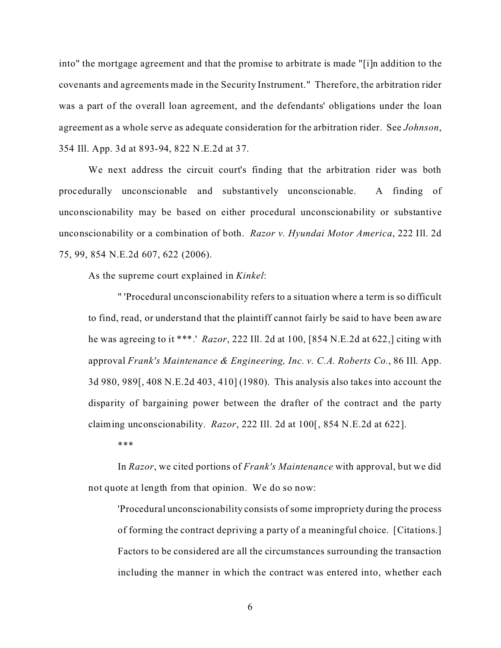into" the mortgage agreement and that the promise to arbitrate is made "[i]n addition to the covenants and agreements made in the Security Instrument." Therefore, the arbitration rider was a part of the overall loan agreement, and the defendants' obligations under the loan agreement as a whole serve as adequate consideration for the arbitration rider. See *Johnson*, 354 Ill. App. 3d at 893-94, 822 N.E.2d at 37.

We next address the circuit court's finding that the arbitration rider was both procedurally unconscionable and substantively unconscionable. A finding of unconscionability may be based on either procedural unconscionability or substantive unconscionability or a combination of both. *Razor v. Hyundai Motor America*, 222 Ill. 2d 75, 99, 854 N.E.2d 607, 622 (2006).

As the supreme court explained in *Kinkel*:

" 'Procedural unconscionability refers to a situation where a term is so difficult to find, read, or understand that the plaintiff cannot fairly be said to have been aware he was agreeing to it \*\*\*.' *Razor*, 222 Ill. 2d at 100, [854 N.E.2d at 622,] citing with approval *Frank's Maintenance & Engineering, Inc. v. C.A. Roberts Co.*, 86 Ill. App. 3d 980, 989[, 408 N.E.2d 403, 410] (1980). This analysis also takes into account the disparity of bargaining power between the drafter of the contract and the party claiming unconscionability. *Razor*, 222 Ill. 2d at 100[, 854 N.E.2d at 622].

\*\*\*

In *Razor*, we cited portions of *Frank's Maintenance* with approval, but we did not quote at length from that opinion. We do so now:

'Procedural unconscionability consists of some impropriety during the process of forming the contract depriving a party of a meaningful choice. [Citations.] Factors to be considered are all the circumstances surrounding the transaction including the manner in which the contract was entered into, whether each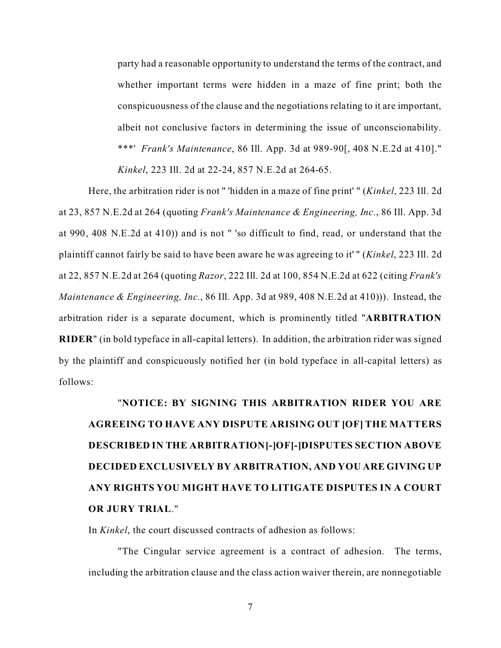party had a reasonable opportunity to understand the terms of the contract, and whether important terms were hidden in a maze of fine print; both the conspicuousness of the clause and the negotiations relating to it are important, albeit not conclusive factors in determining the issue of unconscionability. \*\*\*' *Frank's Maintenance*, 86 Ill. App. 3d at 989-90[, 408 N.E.2d at 410]." *Kinkel*, 223 Ill. 2d at 22-24, 857 N.E.2d at 264-65.

Here, the arbitration rider is not " 'hidden in a maze of fine print' " (*Kinkel*, 223 Ill. 2d at 23, 857 N.E.2d at 264 (quoting *Frank's Maintenance & Engineering, Inc.*, 86 Ill. App. 3d at 990, 408 N.E.2d at 410)) and is not " 'so difficult to find, read, or understand that the plaintiff cannot fairly be said to have been aware he was agreeing to it' " (*Kinkel*, 223 Ill. 2d at 22, 857 N.E.2d at 264 (quoting *Razor*, 222 Ill. 2d at 100, 854 N.E.2d at 622 (citing *Frank's Maintenance & Engineering, Inc.*, 86 Ill. App. 3d at 989, 408 N.E.2d at 410))). Instead, the arbitration rider is a separate document, which is prominently titled "**ARBITRATION RIDER**" (in bold typeface in all-capital letters). In addition, the arbitration rider was signed by the plaintiff and conspicuously notified her (in bold typeface in all-capital letters) as follows:

# "**NOTICE: BY SIGNING THIS ARBITRATION RIDER YOU ARE AGREEING TO HAVE ANY DISPUTE ARISING OUT [OF] THE MATTERS DESCRIBED IN THE ARBITRATION[-]OF[-]DISPUTES SECTION ABOVE DECIDED EXCLUSIVELY BY ARBITRATION, AND YOU ARE GIVING UP ANY RIGHTS YOU MIGHT HAVE TO LITIGATE DISPUTES IN A COURT OR JURY TRIAL**."

In *Kinkel*, the court discussed contracts of adhesion as follows:

"The Cingular service agreement is a contract of adhesion. The terms, including the arbitration clause and the class action waiver therein, are nonnegotiable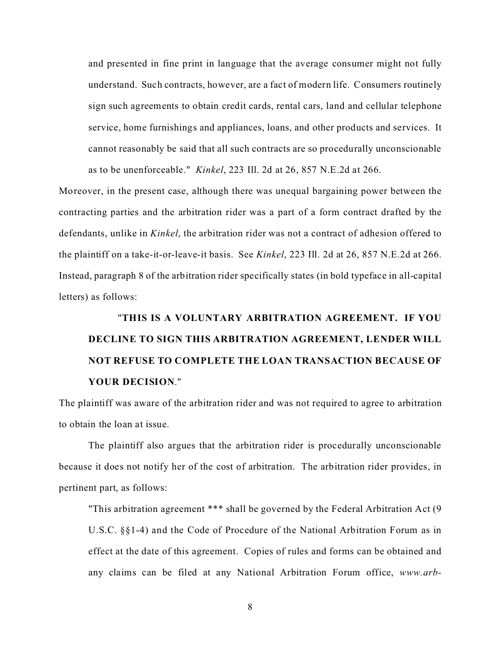and presented in fine print in language that the average consumer might not fully understand. Such contracts, however, are a fact of modern life. Consumers routinely sign such agreements to obtain credit cards, rental cars, land and cellular telephone service, home furnishings and appliances, loans, and other products and services. It cannot reasonably be said that all such contracts are so procedurally unconscionable as to be unenforceable." *Kinkel*, 223 Ill. 2d at 26, 857 N.E.2d at 266.

Moreover, in the present case, although there was unequal bargaining power between the contracting parties and the arbitration rider was a part of a form contract drafted by the defendants, unlike in *Kinkel*, the arbitration rider was not a contract of adhesion offered to the plaintiff on a take-it-or-leave-it basis. See *Kinkel*, 223 Ill. 2d at 26, 857 N.E.2d at 266. Instead, paragraph 8 of the arbitration rider specifically states (in bold typeface in all-capital letters) as follows:

# "**THIS IS A VOLUNTARY ARBITRATION AGREEMENT. IF YOU DECLINE TO SIGN THIS ARBITRATION AGREEMENT, LENDER WILL NOT REFUSE TO COMPLETE THE LOAN TRANSACTION BECAUSE OF YOUR DECISION**."

The plaintiff was aware of the arbitration rider and was not required to agree to arbitration to obtain the loan at issue.

The plaintiff also argues that the arbitration rider is procedurally unconscionable because it does not notify her of the cost of arbitration. The arbitration rider provides, in pertinent part, as follows:

"This arbitration agreement \*\*\* shall be governed by the Federal Arbitration Act (9 U.S.C. §§1-4) and the Code of Procedure of the National Arbitration Forum as in effect at the date of this agreement. Copies of rules and forms can be obtained and any claims can be filed at any National Arbitration Forum office, *www.arb-*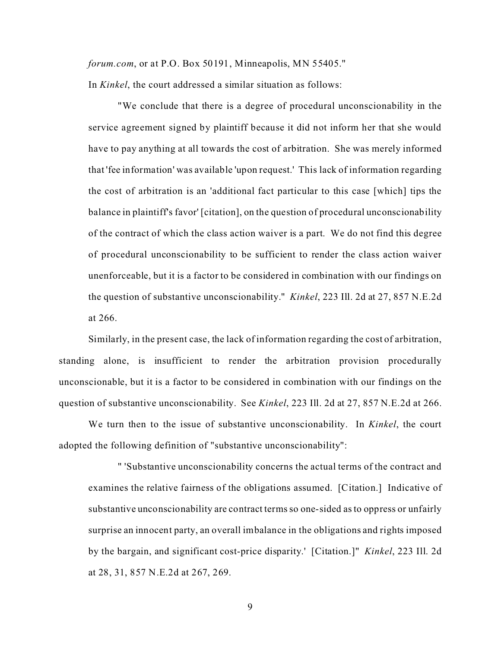*forum.com*, or at P.O. Box 50191, Minneapolis, MN 55405."

In *Kinkel*, the court addressed a similar situation as follows:

"We conclude that there is a degree of procedural unconscionability in the service agreement signed by plaintiff because it did not inform her that she would have to pay anything at all towards the cost of arbitration. She was merely informed that 'fee information' was available 'upon request.' This lack of information regarding the cost of arbitration is an 'additional fact particular to this case [which] tips the balance in plaintiff's favor' [citation], on the question of procedural unconscionability of the contract of which the class action waiver is a part. We do not find this degree of procedural unconscionability to be sufficient to render the class action waiver unenforceable, but it is a factor to be considered in combination with our findings on the question of substantive unconscionability." *Kinkel*, 223 Ill. 2d at 27, 857 N.E.2d at 266.

Similarly, in the present case, the lack of information regarding the cost of arbitration, standing alone, is insufficient to render the arbitration provision procedurally unconscionable, but it is a factor to be considered in combination with our findings on the question of substantive unconscionability. See *Kinkel*, 223 Ill. 2d at 27, 857 N.E.2d at 266.

We turn then to the issue of substantive unconscionability. In *Kinkel*, the court adopted the following definition of "substantive unconscionability":

" 'Substantive unconscionability concerns the actual terms of the contract and examines the relative fairness of the obligations assumed. [Citation.] Indicative of substantive unconscionability are contract terms so one-sided as to oppress or unfairly surprise an innocent party, an overall imbalance in the obligations and rights imposed by the bargain, and significant cost-price disparity.' [Citation.]" *Kinkel*, 223 Ill. 2d at 28, 31, 857 N.E.2d at 267, 269.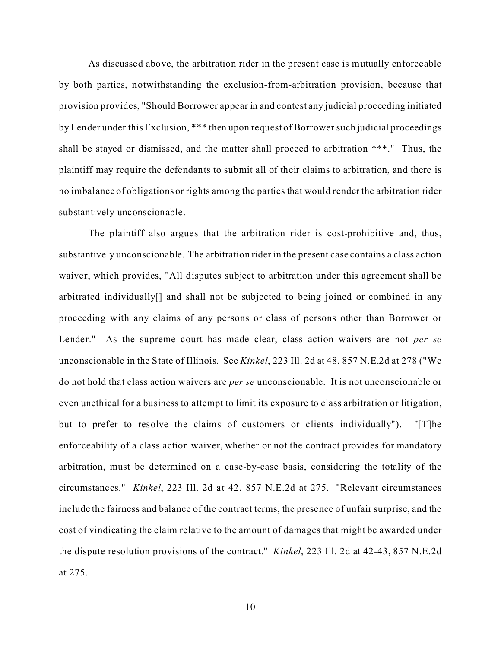As discussed above, the arbitration rider in the present case is mutually enforceable by both parties, notwithstanding the exclusion-from-arbitration provision, because that provision provides, "Should Borrower appear in and contest any judicial proceeding initiated by Lender under this Exclusion, \*\*\* then upon request of Borrower such judicial proceedings shall be stayed or dismissed, and the matter shall proceed to arbitration \*\*\*." Thus, the plaintiff may require the defendants to submit all of their claims to arbitration, and there is no imbalance of obligations or rights among the parties that would render the arbitration rider substantively unconscionable.

The plaintiff also argues that the arbitration rider is cost-prohibitive and, thus, substantively unconscionable. The arbitration rider in the present case contains a class action waiver, which provides, "All disputes subject to arbitration under this agreement shall be arbitrated individually[] and shall not be subjected to being joined or combined in any proceeding with any claims of any persons or class of persons other than Borrower or Lender." As the supreme court has made clear, class action waivers are not *per se* unconscionable in the State of Illinois. See *Kinkel*, 223 Ill. 2d at 48, 857 N.E.2d at 278 ("We do not hold that class action waivers are *per se* unconscionable. It is not unconscionable or even unethical for a business to attempt to limit its exposure to class arbitration or litigation, but to prefer to resolve the claims of customers or clients individually"). "[T]he enforceability of a class action waiver, whether or not the contract provides for mandatory arbitration, must be determined on a case-by-case basis, considering the totality of the circumstances." *Kinkel*, 223 Ill. 2d at 42, 857 N.E.2d at 275. "Relevant circumstances include the fairness and balance of the contract terms, the presence of unfair surprise, and the cost of vindicating the claim relative to the amount of damages that might be awarded under the dispute resolution provisions of the contract." *Kinkel*, 223 Ill. 2d at 42-43, 857 N.E.2d at 275.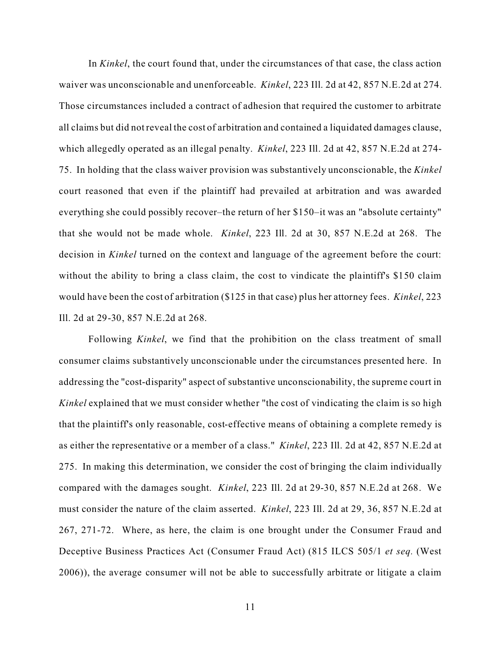In *Kinkel*, the court found that, under the circumstances of that case, the class action waiver was unconscionable and unenforceable. *Kinkel*, 223 Ill. 2d at 42, 857 N.E.2d at 274. Those circumstances included a contract of adhesion that required the customer to arbitrate all claims but did not reveal the cost of arbitration and contained a liquidated damages clause, which allegedly operated as an illegal penalty. *Kinkel*, 223 Ill. 2d at 42, 857 N.E.2d at 274- 75. In holding that the class waiver provision was substantively unconscionable, the *Kinkel* court reasoned that even if the plaintiff had prevailed at arbitration and was awarded everything she could possibly recover–the return of her \$150–it was an "absolute certainty" that she would not be made whole. *Kinkel*, 223 Ill. 2d at 30, 857 N.E.2d at 268. The decision in *Kinkel* turned on the context and language of the agreement before the court: without the ability to bring a class claim, the cost to vindicate the plaintiff's \$150 claim would have been the cost of arbitration (\$125 in that case) plus her attorney fees. *Kinkel*, 223 Ill. 2d at 29-30, 857 N.E.2d at 268.

Following *Kinkel*, we find that the prohibition on the class treatment of small consumer claims substantively unconscionable under the circumstances presented here. In addressing the "cost-disparity" aspect of substantive unconscionability, the supreme court in *Kinkel* explained that we must consider whether "the cost of vindicating the claim is so high that the plaintiff's only reasonable, cost-effective means of obtaining a complete remedy is as either the representative or a member of a class." *Kinkel*, 223 Ill. 2d at 42, 857 N.E.2d at 275. In making this determination, we consider the cost of bringing the claim individually compared with the damages sought. *Kinkel*, 223 Ill. 2d at 29-30, 857 N.E.2d at 268. We must consider the nature of the claim asserted. *Kinkel*, 223 Ill. 2d at 29, 36, 857 N.E.2d at 267, 271-72. Where, as here, the claim is one brought under the Consumer Fraud and Deceptive Business Practices Act (Consumer Fraud Act) (815 ILCS 505/1 *et seq.* (West 2006)), the average consumer will not be able to successfully arbitrate or litigate a claim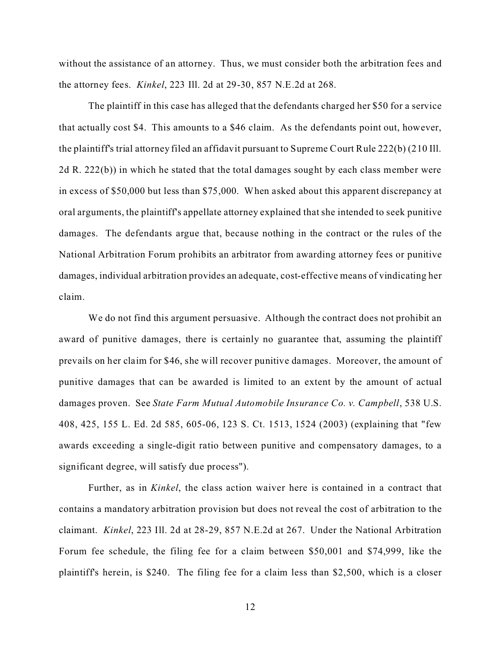without the assistance of an attorney. Thus, we must consider both the arbitration fees and the attorney fees. *Kinkel*, 223 Ill. 2d at 29-30, 857 N.E.2d at 268.

The plaintiff in this case has alleged that the defendants charged her \$50 for a service that actually cost \$4. This amounts to a \$46 claim. As the defendants point out, however, the plaintiff's trial attorney filed an affidavit pursuant to Supreme Court Rule 222(b) (210 Ill. 2d R. 222(b)) in which he stated that the total damages sought by each class member were in excess of \$50,000 but less than \$75,000. When asked about this apparent discrepancy at oral arguments, the plaintiff's appellate attorney explained that she intended to seek punitive damages. The defendants argue that, because nothing in the contract or the rules of the National Arbitration Forum prohibits an arbitrator from awarding attorney fees or punitive damages, individual arbitration provides an adequate, cost-effective means of vindicating her claim.

We do not find this argument persuasive. Although the contract does not prohibit an award of punitive damages, there is certainly no guarantee that, assuming the plaintiff prevails on her claim for \$46, she will recover punitive damages. Moreover, the amount of punitive damages that can be awarded is limited to an extent by the amount of actual damages proven. See *State Farm Mutual Automobile Insurance Co. v. Campbell*, 538 U.S. 408, 425, 155 L. Ed. 2d 585, 605-06, 123 S. Ct. 1513, 1524 (2003) (explaining that "few awards exceeding a single-digit ratio between punitive and compensatory damages, to a significant degree, will satisfy due process").

Further, as in *Kinkel*, the class action waiver here is contained in a contract that contains a mandatory arbitration provision but does not reveal the cost of arbitration to the claimant. *Kinkel*, 223 Ill. 2d at 28-29, 857 N.E.2d at 267. Under the National Arbitration Forum fee schedule, the filing fee for a claim between \$50,001 and \$74,999, like the plaintiff's herein, is \$240. The filing fee for a claim less than \$2,500, which is a closer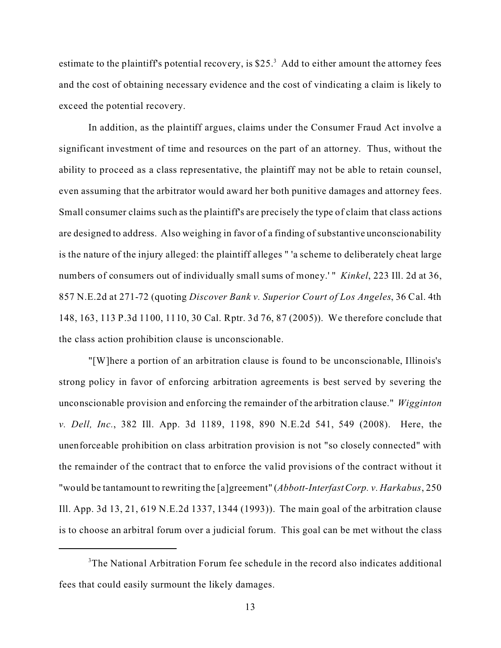estimate to the plaintiff's potential recovery, is \$25. $3$  Add to either amount the attorney fees and the cost of obtaining necessary evidence and the cost of vindicating a claim is likely to exceed the potential recovery.

In addition, as the plaintiff argues, claims under the Consumer Fraud Act involve a significant investment of time and resources on the part of an attorney. Thus, without the ability to proceed as a class representative, the plaintiff may not be able to retain counsel, even assuming that the arbitrator would award her both punitive damages and attorney fees. Small consumer claims such as the plaintiff's are precisely the type of claim that class actions are designed to address. Also weighing in favor of a finding of substantive unconscionability is the nature of the injury alleged: the plaintiff alleges " 'a scheme to deliberately cheat large numbers of consumers out of individually small sums of money.' " *Kinkel*, 223 Ill. 2d at 36, 857 N.E.2d at 271-72 (quoting *Discover Bank v. Superior Court of Los Angeles*, 36 Cal. 4th 148, 163, 113 P.3d 1100, 1110, 30 Cal. Rptr. 3d 76, 87 (2005)). We therefore conclude that the class action prohibition clause is unconscionable.

"[W]here a portion of an arbitration clause is found to be unconscionable, Illinois's strong policy in favor of enforcing arbitration agreements is best served by severing the unconscionable provision and enforcing the remainder of the arbitration clause." *Wigginton v. Dell, Inc.*, 382 Ill. App. 3d 1189, 1198, 890 N.E.2d 541, 549 (2008). Here, the unenforceable prohibition on class arbitration provision is not "so closely connected" with the remainder of the contract that to enforce the valid provisions of the contract without it "would be tantamount to rewriting the [a]greement" (*Abbott-InterfastCorp. v. Harkabus*, 250 Ill. App. 3d 13, 21, 619 N.E.2d 1337, 1344 (1993)). The main goal of the arbitration clause is to choose an arbitral forum over a judicial forum. This goal can be met without the class

<sup>&</sup>lt;sup>3</sup>The National Arbitration Forum fee schedule in the record also indicates additional fees that could easily surmount the likely damages.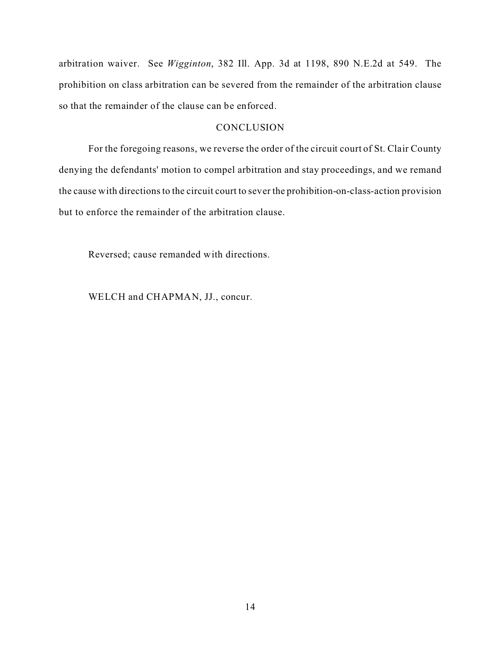arbitration waiver. See *Wigginton*, 382 Ill. App. 3d at 1198, 890 N.E.2d at 549. The prohibition on class arbitration can be severed from the remainder of the arbitration clause so that the remainder of the clause can be enforced.

### **CONCLUSION**

For the foregoing reasons, we reverse the order of the circuit court of St. Clair County denying the defendants' motion to compel arbitration and stay proceedings, and we remand the cause with directions to the circuit court to sever the prohibition-on-class-action provision but to enforce the remainder of the arbitration clause.

Reversed; cause remanded with directions.

WELCH and CHAPMAN, JJ., concur.